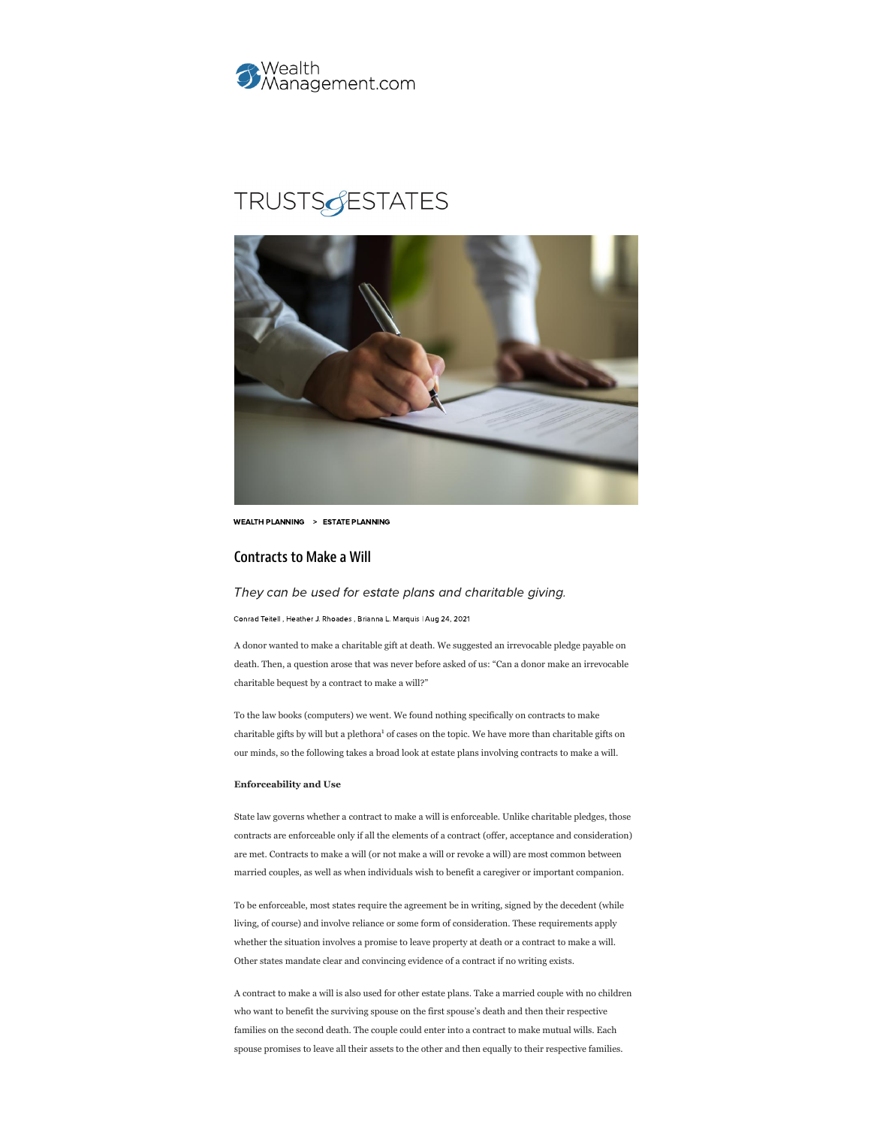

# **TRUSTSGESTATES**



WEALTH [PLANNING](https://www.wealthmanagement.com/wealth-planning/estate-planning) > ESTATE PLANNING

## Contracts to Make a Will

## They can be used for estate plans and charitable giving.

[Conrad](https://www.wealthmanagement.com/blogger/conrad-teitell) Teitell , Heather J. [Rhoades](https://www.wealthmanagement.com/author/Heather-J.%20Rhoades) , Brianna L. [Marquis](https://www.wealthmanagement.com/author/Brianna%20L.-Marquis) | Aug 24, 2021

A donor wanted to make a charitable gift at death. We suggested an irrevocable pledge payable on death. Then, a question arose that was never before asked of us: "Can a donor make an irrevocable charitable bequest by a contract to make a will?"

To the law books (computers) we went. We found nothing specifically on contracts to make charitable gifts by will but a plethora<sup>1</sup> of cases on the topic. We have more than charitable gifts on our minds, so the following takes a broad look at estate plans involving contracts to make a will.

## **Enforceability and Use**

State law governs whether a contract to make a will is enforceable. Unlike charitable pledges, those contracts are enforceable only if all the elements of a contract (offer, acceptance and consideration) are met. Contracts to make a will (or not make a will or revoke a will) are most common between married couples, as well as when individuals wish to benefit a caregiver or important companion.

To be enforceable, most states require the agreement be in writing, signed by the decedent (while living, of course) and involve reliance or some form of consideration. These requirements apply whether the situation involves a promise to leave property at death or a contract to make a will. Other states mandate clear and convincing evidence of a contract if no writing exists.

A contract to make a will is also used for other estate plans. Take a married couple with no children who want to benefit the surviving spouse on the first spouse's death and then their respective families on the second death. The couple could enter into a contract to make mutual wills. Each spouse promises to leave all their assets to the other and then equally to their respective families.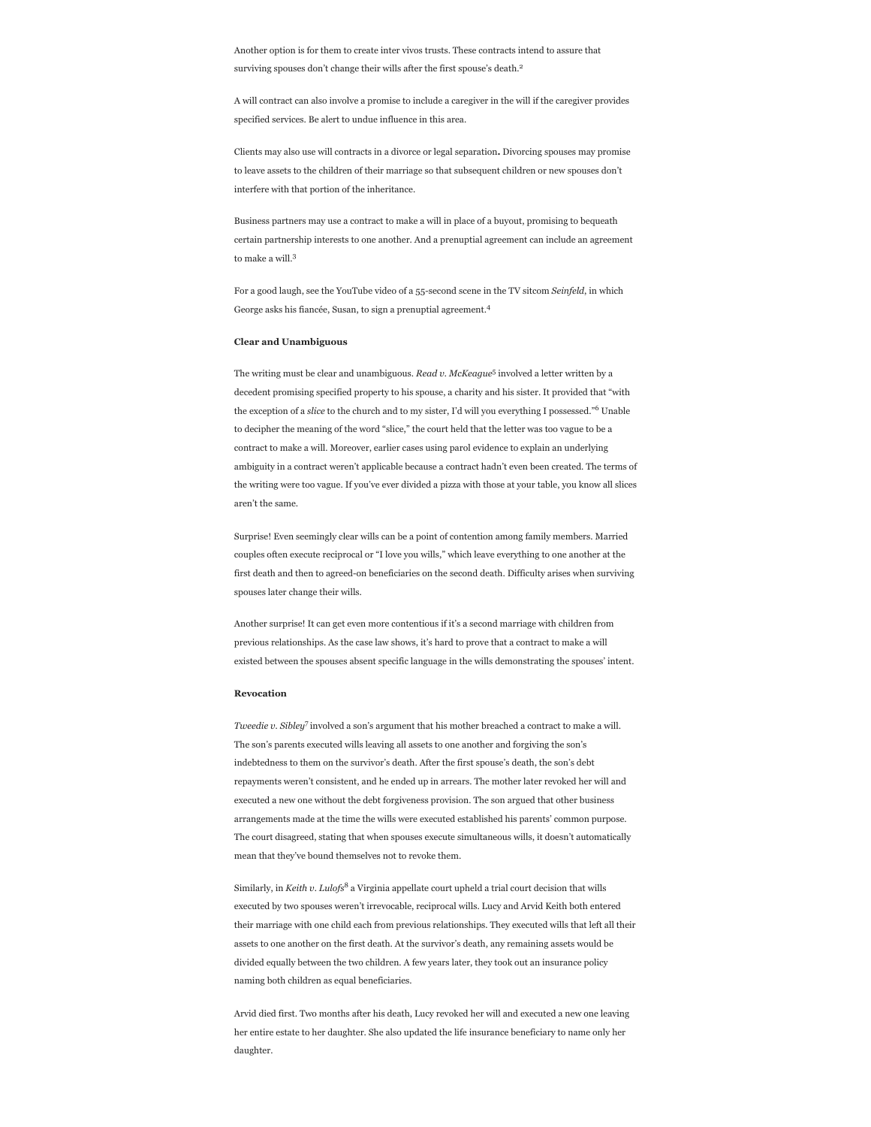Another option is for them to create inter vivos trusts. These contracts intend to assure that surviving spouses don't change their wills after the first spouse's death. 2

A will contract can also involve a promise to include a caregiver in the will if the caregiver provides specified services. Be alert to undue influence in this area.

Clients may also use will contracts in a divorce or legal separation**.** Divorcing spouses may promise to leave assets to the children of their marriage so that subsequent children or new spouses don't interfere with that portion of the inheritance.

Business partners may use a contract to make a will in place of a buyout, promising to bequeath certain partnership interests to one another. And a prenuptial agreement can include an agreement to make a will. 3

For a good laugh, see the YouTube video of a 55-second scene in the TV sitcom *Seinfeld*, in which George asks his fiancée, Susan, to sign a prenuptial agreement. 4

## **Clear and Unambiguous**

The writing must be clear and unambiguous. *Read v. McKeague<sup>5</sup>* involved a letter written by a decedent promising specified property to his spouse, a charity and his sister. It provided that "with the exception of a *slice* to the church and to my sister, I'd will you everything I possessed."<sup>6</sup> Unable to decipher the meaning of the word "slice," the court held that the letter was too vague to be a contract to make a will. Moreover, earlier cases using parol evidence to explain an underlying ambiguity in a contract weren't applicable because a contract hadn't even been created. The terms of the writing were too vague. If you've ever divided a pizza with those at your table, you know all slices aren't the same.

Surprise! Even seemingly clear wills can be a point of contention among family members. Married couples often execute reciprocal or "I love you wills," which leave everything to one another at the first death and then to agreed-on beneficiaries on the second death. Difficulty arises when surviving spouses later change their wills.

Another surprise! It can get even more contentious if it's a second marriage with children from previous relationships. As the case law shows, it's hard to prove that a contract to make a will existed between the spouses absent specific language in the wills demonstrating the spouses' intent.

## **Revocation**

Tweedie v. Sibley<sup>7</sup> involved a son's argument that his mother breached a contract to make a will. The son's parents executed wills leaving all assets to one another and forgiving the son's indebtedness to them on the survivor's death. After the first spouse's death, the son's debt repayments weren't consistent, and he ended up in arrears. The mother later revoked her will and executed a new one without the debt forgiveness provision. The son argued that other business arrangements made at the time the wills were executed established his parents' common purpose. The court disagreed, stating that when spouses execute simultaneous wills, it doesn't automatically mean that they've bound themselves not to revoke them.

Similarly, in *Keith v. Lulofs<sup>8</sup>* a Virginia appellate court upheld a trial court decision that wills executed by two spouses weren't irrevocable, reciprocal wills. Lucy and Arvid Keith both entered their marriage with one child each from previous relationships. They executed wills that left all their assets to one another on the first death. At the survivor's death, any remaining assets would be divided equally between the two children. A few years later, they took out an insurance policy naming both children as equal beneficiaries.

Arvid died first. Two months after his death, Lucy revoked her will and executed a new one leaving her entire estate to her daughter. She also updated the life insurance beneficiary to name only her daughter.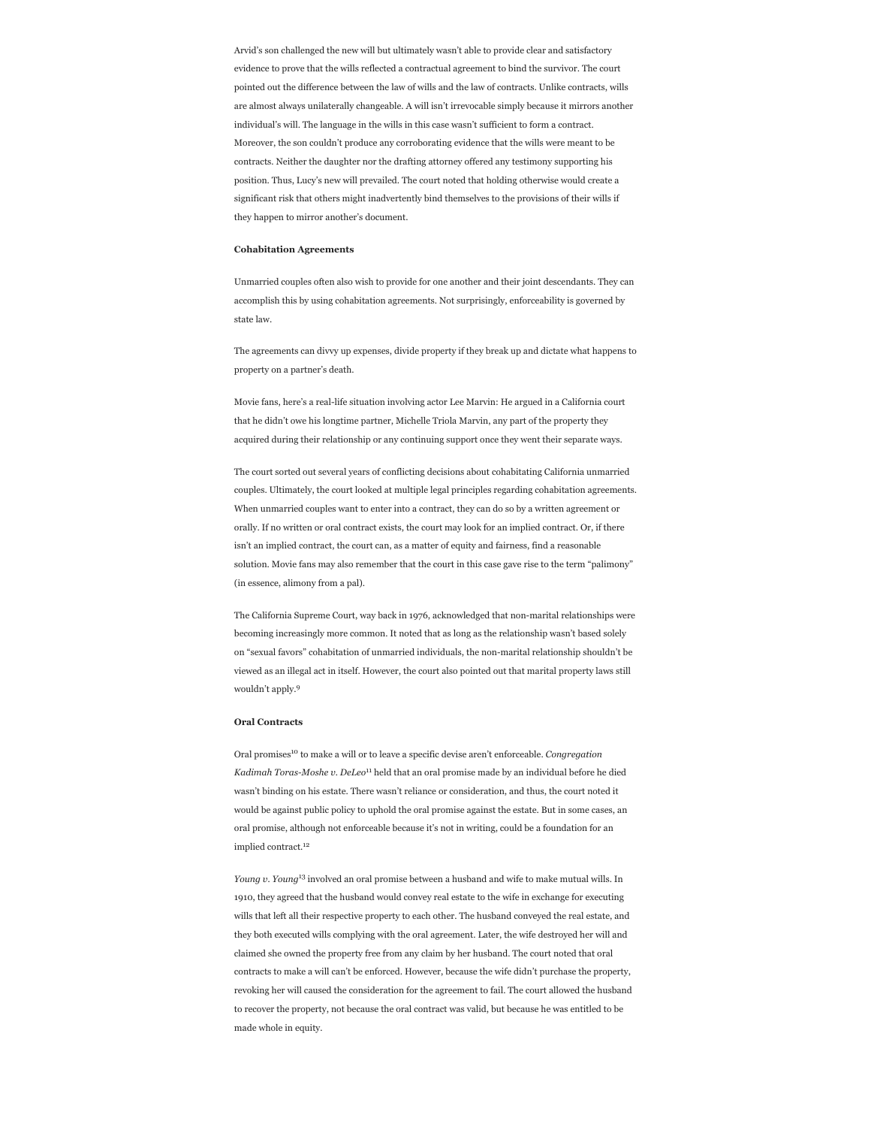Arvid's son challenged the new will but ultimately wasn't able to provide clear and satisfactory evidence to prove that the wills reflected a contractual agreement to bind the survivor. The court pointed out the difference between the law of wills and the law of contracts. Unlike contracts, wills are almost always unilaterally changeable. A will isn't irrevocable simply because it mirrors another individual's will. The language in the wills in this case wasn't sufficient to form a contract. Moreover, the son couldn't produce any corroborating evidence that the wills were meant to be contracts. Neither the daughter nor the drafting attorney offered any testimony supporting his position. Thus, Lucy's new will prevailed. The court noted that holding otherwise would create a significant risk that others might inadvertently bind themselves to the provisions of their wills if they happen to mirror another's document.

## **Cohabitation Agreements**

Unmarried couples often also wish to provide for one another and their joint descendants. They can accomplish this by using cohabitation agreements. Not surprisingly, enforceability is governed by state law.

The agreements can divvy up expenses, divide property if they break up and dictate what happens to property on a partner's death.

Movie fans, here's a real-life situation involving actor Lee Marvin: He argued in a California court that he didn't owe his longtime partner, Michelle Triola Marvin, any part of the property they acquired during their relationship or any continuing support once they went their separate ways.

The court sorted out several years of conflicting decisions about cohabitating California unmarried couples. Ultimately, the court looked at multiple legal principles regarding cohabitation agreements. When unmarried couples want to enter into a contract, they can do so by a written agreement or orally. If no written or oral contract exists, the court may look for an implied contract. Or, if there isn't an implied contract, the court can, as a matter of equity and fairness, find a reasonable solution. Movie fans may also remember that the court in this case gave rise to the term "palimony" (in essence, alimony from a pal).

The California Supreme Court, way back in 1976, acknowledged that non-marital relationships were becoming increasingly more common. It noted that as long as the relationship wasn't based solely on "sexual favors" cohabitation of unmarried individuals, the non-marital relationship shouldn't be viewed as an illegal act in itself. However, the court also pointed out that marital property laws still wouldn't apply. 9

## **Oral Contracts**

Oral promises<sup>10</sup> to make a will or to leave a specific devise aren't enforceable. *Congregation* Kadimah Toras-Moshe v. DeLeo<sup>11</sup> held that an oral promise made by an individual before he died wasn't binding on his estate. There wasn't reliance or consideration, and thus, the court noted it would be against public policy to uphold the oral promise against the estate. But in some cases, an oral promise, although not enforceable because it's not in writing, could be a foundation for an implied contract. 12

Young v. Young<sup>13</sup> involved an oral promise between a husband and wife to make mutual wills. In 1910, they agreed that the husband would convey real estate to the wife in exchange for executing wills that left all their respective property to each other. The husband conveyed the real estate, and they both executed wills complying with the oral agreement. Later, the wife destroyed her will and claimed she owned the property free from any claim by her husband. The court noted that oral contracts to make a will can't be enforced. However, because the wife didn't purchase the property, revoking her will caused the consideration for the agreement to fail. The court allowed the husband to recover the property, not because the oral contract was valid, but because he was entitled to be made whole in equity.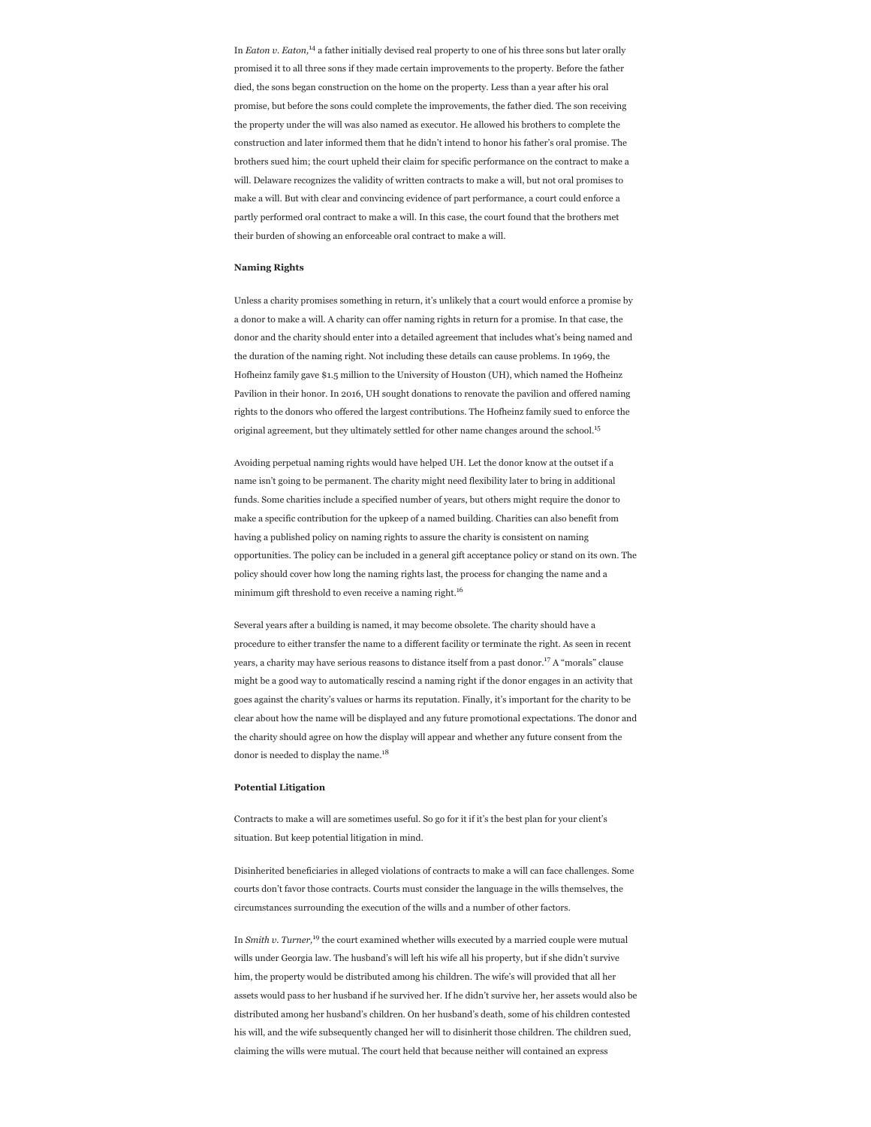In *Eaton v. Eaton*,<sup>14</sup> a father initially devised real property to one of his three sons but later orally promised it to all three sons if they made certain improvements to the property. Before the father died, the sons began construction on the home on the property. Less than a year after his oral promise, but before the sons could complete the improvements, the father died. The son receiving the property under the will was also named as executor. He allowed his brothers to complete the construction and later informed them that he didn't intend to honor his father's oral promise. The brothers sued him; the court upheld their claim for specific performance on the contract to make a will. Delaware recognizes the validity of written contracts to make a will, but not oral promises to make a will. But with clear and convincing evidence of part performance, a court could enforce a partly performed oral contract to make a will. In this case, the court found that the brothers met their burden of showing an enforceable oral contract to make a will.

#### **Naming Rights**

Unless a charity promises something in return, it's unlikely that a court would enforce a promise by a donor to make a will. A charity can offer naming rights in return for a promise. In that case, the donor and the charity should enter into a detailed agreement that includes what's being named and the duration of the naming right. Not including these details can cause problems. In 1969, the Hofheinz family gave \$1.5 million to the University of Houston (UH), which named the Hofheinz Pavilion in their honor. In 2016, UH sought donations to renovate the pavilion and offered naming rights to the donors who offered the largest contributions. The Hofheinz family sued to enforce the original agreement, but they ultimately settled for other name changes around the school. 15

Avoiding perpetual naming rights would have helped UH. Let the donor know at the outset if a name isn't going to be permanent. The charity might need flexibility later to bring in additional funds. Some charities include a specified number of years, but others might require the donor to make a specific contribution for the upkeep of a named building. Charities can also benefit from having a published policy on naming rights to assure the charity is consistent on naming opportunities. The policy can be included in a general gift acceptance policy or stand on its own. The policy should cover how long the naming rights last, the process for changing the name and a minimum gift threshold to even receive a naming right. 16

Several years after a building is named, it may become obsolete. The charity should have a procedure to either transfer the name to a different facility or terminate the right. As seen in recent years, a charity may have serious reasons to distance itself from a past donor.<sup>17</sup> A "morals" clause might be a good way to automatically rescind a naming right if the donor engages in an activity that goes against the charity's values or harms its reputation. Finally, it's important for the charity to be clear about how the name will be displayed and any future promotional expectations. The donor and the charity should agree on how the display will appear and whether any future consent from the donor is needed to display the name.<sup>18</sup>

#### **Potential Litigation**

Contracts to make a will are sometimes useful. So go for it if it's the best plan for your client's situation. But keep potential litigation in mind.

Disinherited beneficiaries in alleged violations of contracts to make a will can face challenges. Some courts don't favor those contracts. Courts must consider the language in the wills themselves, the circumstances surrounding the execution of the wills and a number of other factors.

In *Smith v. Turner*,<sup>19</sup> the court examined whether wills executed by a married couple were mutual wills under Georgia law. The husband's will left his wife all his property, but if she didn't survive him, the property would be distributed among his children. The wife's will provided that all her assets would pass to her husband if he survived her. If he didn't survive her, her assets would also be distributed among her husband's children. On her husband's death, some of his children contested his will, and the wife subsequently changed her will to disinherit those children. The children sued, claiming the wills were mutual. The court held that because neither will contained an express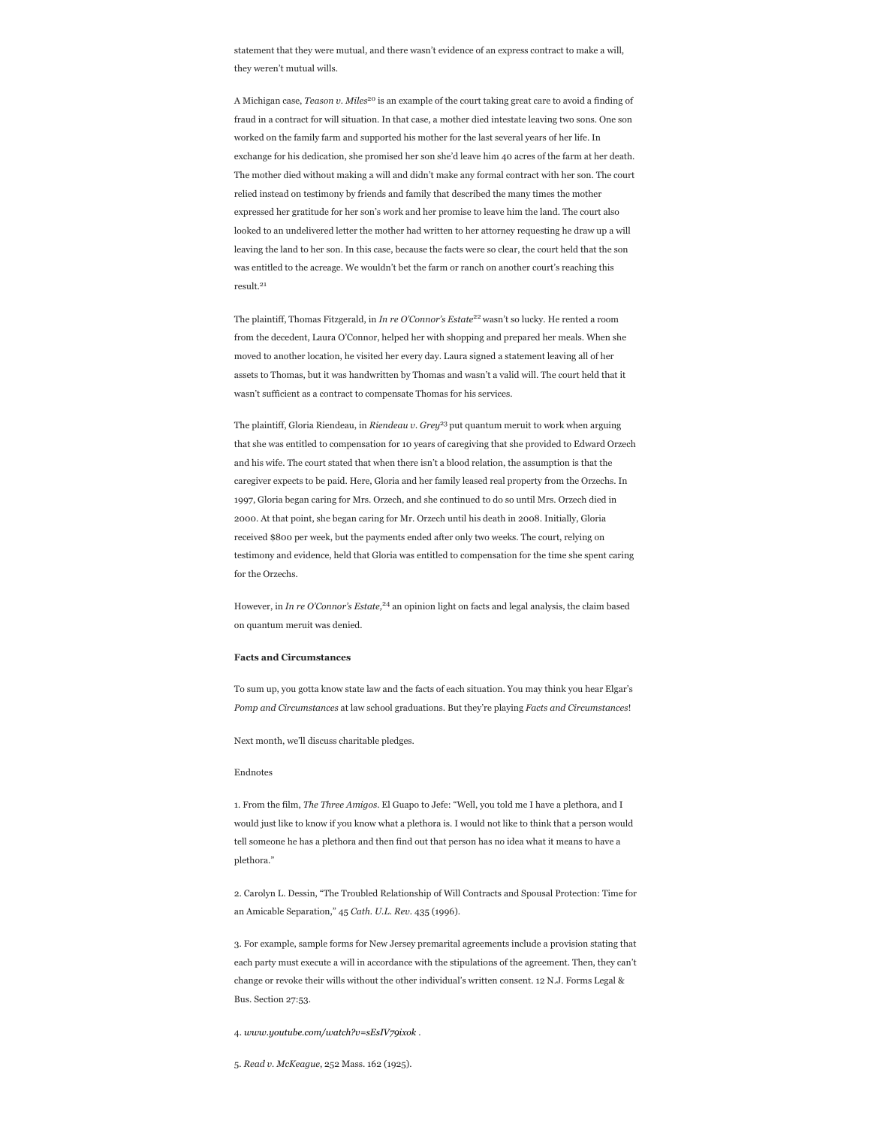statement that they were mutual, and there wasn't evidence of an express contract to make a will, they weren't mutual wills.

A Michigan case, *Teason v. Miles<sup>20</sup>* is an example of the court taking great care to avoid a finding of fraud in a contract for will situation. In that case, a mother died intestate leaving two sons. One son worked on the family farm and supported his mother for the last several years of her life. In exchange for his dedication, she promised her son she'd leave him 40 acres of the farm at her death. The mother died without making a will and didn't make any formal contract with her son. The court relied instead on testimony by friends and family that described the many times the mother expressed her gratitude for her son's work and her promise to leave him the land. The court also looked to an undelivered letter the mother had written to her attorney requesting he draw up a will leaving the land to her son. In this case, because the facts were so clear, the court held that the son was entitled to the acreage. We wouldn't bet the farm or ranch on another court's reaching this result. 21

The plaintiff, Thomas Fitzgerald, in *In re O'Connor's Estate<sup>22</sup>* wasn't so lucky. He rented a room from the decedent, Laura O'Connor, helped her with shopping and prepared her meals. When she moved to another location, he visited her every day. Laura signed a statement leaving all of her assets to Thomas, but it was handwritten by Thomas and wasn't a valid will. The court held that it wasn't sufficient as a contract to compensate Thomas for his services.

The plaintiff, Gloria Riendeau, in *Riendeau v. Grey*<sup>23</sup> put quantum meruit to work when arguing that she was entitled to compensation for 10 years of caregiving that she provided to Edward Orzech and his wife. The court stated that when there isn't a blood relation, the assumption is that the caregiver expects to be paid. Here, Gloria and her family leased real property from the Orzechs. In 1997, Gloria began caring for Mrs. Orzech, and she continued to do so until Mrs. Orzech died in 2000. At that point, she began caring for Mr. Orzech until his death in 2008. Initially, Gloria received \$800 per week, but the payments ended after only two weeks. The court, relying on testimony and evidence, held that Gloria was entitled to compensation for the time she spent caring for the Orzechs.

However, in *In re O'Connor's Estate*,<sup>24</sup> an opinion light on facts and legal analysis, the claim based on quantum meruit was denied.

## **Facts and Circumstances**

To sum up, you gotta know state law and the facts of each situation. You may think you hear Elgar's *Pomp and Circumstances* at law school graduations. But they're playing *Facts and Circumstances*!

Next month, we'll discuss charitable pledges.

#### Endnotes

1. From the film, *The Three Amigos*. El Guapo to Jefe: "Well, you told me I have a plethora, and I would just like to know if you know what a plethora is. I would not like to think that a person would tell someone he has a plethora and then find out that person has no idea what it means to have a plethora."

2. Carolyn L. Dessin, "The Troubled Relationship of Will Contracts and Spousal Protection: Time for an Amicable Separation," 45 *Cath. U.L. Rev.* 435 (1996).

3. For example, sample forms for New Jersey premarital agreements include a provision stating that each party must execute a will in accordance with the stipulations of the agreement. Then, they can't change or revoke their wills without the other individual's written consent. 12 N.J. Forms Legal & Bus. Section 27:53.

4. *[www.youtube.com/watch?v=sEsIV79ixok](http://www.youtube.com/watch?v=sEsIV79ixok)* .

5. *Read v. McKeague*, 252 Mass. 162 (1925).